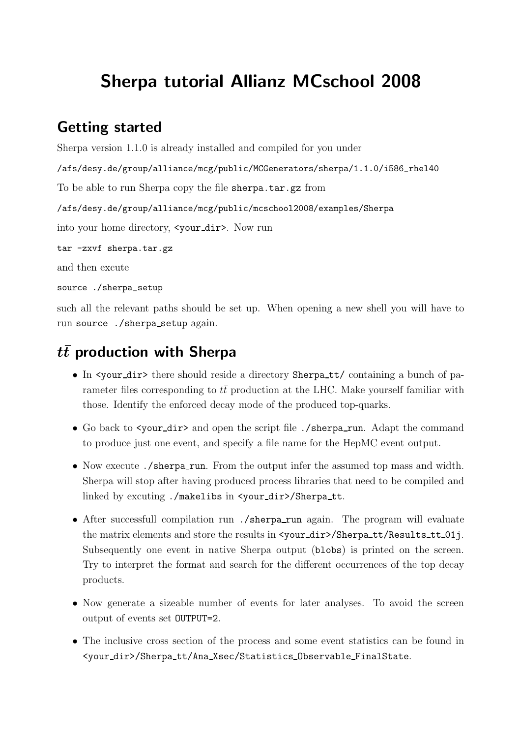## Sherpa tutorial Allianz MCschool 2008

#### Getting started

```
Sherpa version 1.1.0 is already installed and compiled for you under
/afs/desy.de/group/alliance/mcg/public/MCGenerators/sherpa/1.1.0/i586_rhel40
To be able to run Sherpa copy the file sherpa.tar.gz from
/afs/desy.de/group/alliance/mcg/public/mcschool2008/examples/Sherpa
into your home directory, <your dir>. Now run
tar -zxvf sherpa.tar.gz
and then excute
source ./sherpa setup
```
such all the relevant paths should be set up. When opening a new shell you will have to run source ./sherpa setup again.

# $t\bar{t}$  production with Sherpa

- In <your\_dir> there should reside a directory Sherpa\_tt/ containing a bunch of parameter files corresponding to  $t\bar{t}$  production at the LHC. Make yourself familiar with those. Identify the enforced decay mode of the produced top-quarks.
- Go back to <your\_dir> and open the script file ./sherpa\_run. Adapt the command to produce just one event, and specify a file name for the HepMC event output.
- Now execute ./sherpa\_run. From the output infer the assumed top mass and width. Sherpa will stop after having produced process libraries that need to be compiled and linked by excuting ./makelibs in <your\_dir>/Sherpa\_tt.
- After successfull compilation run ./sherpa\_run again. The program will evaluate the matrix elements and store the results in  $\langle$ your\_dir>/Sherpa\_tt/Results\_tt\_01j. Subsequently one event in native Sherpa output (blobs) is printed on the screen. Try to interpret the format and search for the different occurrences of the top decay products.
- Now generate a sizeable number of events for later analyses. To avoid the screen output of events set OUTPUT=2.
- The inclusive cross section of the process and some event statistics can be found in <your dir>/Sherpa tt/Ana Xsec/Statistics Observable FinalState.